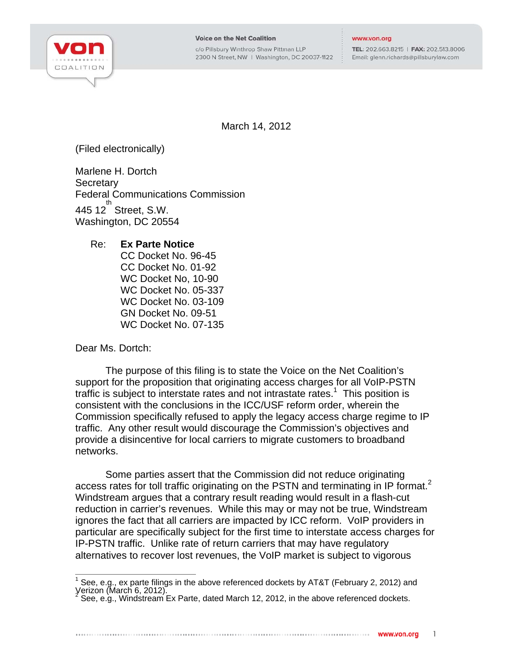

c/o Pillsbury Winthrop Shaw Pittman LLP 2300 N Street, NW | Washington, DC 20037-1122

## www.von.org

TEL: 202.663.8215 | FAX: 202.513.8006 Email: glenn.richards@pillsburylaw.com

March 14, 2012

(Filed electronically)

Marlene H. Dortch Secretary Federal Communications Commission  $445 12^{th}$  Street, S.W. Washington, DC 20554

## Re: **Ex Parte Notice**

CC Docket No. 96-45 CC Docket No. 01-92 WC Docket No, 10-90 WC Docket No. 05-337 WC Docket No. 03-109 GN Docket No. 09-51 WC Docket No. 07-135

Dear Ms. Dortch:

The purpose of this filing is to state the Voice on the Net Coalition's support for the proposition that originating access charges for all VoIP-PSTN traffic is subject to interstate rates and not intrastate rates.<sup>1</sup> This position is consistent with the conclusions in the ICC/USF reform order, wherein the Commission specifically refused to apply the legacy access charge regime to IP traffic. Any other result would discourage the Commission's objectives and provide a disincentive for local carriers to migrate customers to broadband networks.

Some parties assert that the Commission did not reduce originating access rates for toll traffic originating on the PSTN and terminating in IP format.<sup>2</sup> Windstream argues that a contrary result reading would result in a flash-cut reduction in carrier's revenues. While this may or may not be true, Windstream ignores the fact that all carriers are impacted by ICC reform. VoIP providers in particular are specifically subject for the first time to interstate access charges for IP-PSTN traffic. Unlike rate of return carriers that may have regulatory alternatives to recover lost revenues, the VoIP market is subject to vigorous

 1 See, e.g., ex parte filings in the above referenced dockets by AT&T (February 2, 2012) and Verizon (March 6, 2012).<br><sup>2</sup> See o.C. Windetream E

See, e.g., Windstream Ex Parte, dated March 12, 2012, in the above referenced dockets.